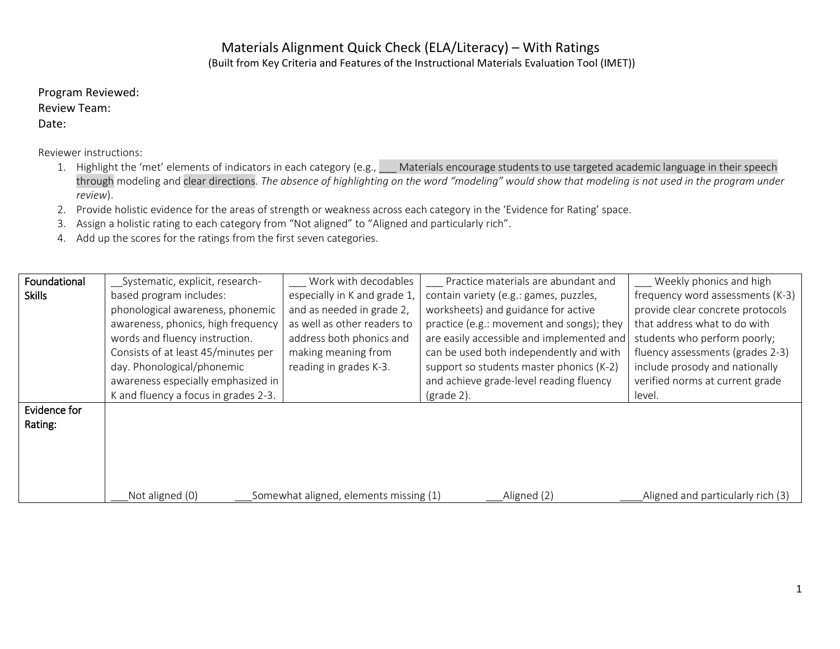## Materials Alignment Quick Check (ELA/Literacy) – With Ratings

(Built from Key Criteria and Features of the Instructional Materials Evaluation Tool (IMET))

Program Reviewed: Review Team: Date:

Reviewer instructions:

- 1. Highlight the 'met' elements of indicators in each category (e.g., \_\_\_ Materials encourage students to use targeted academic language in their speech through modeling and clear directions. *The absence of highlighting on the word "modeling" would show that modeling is not used in the program under review*).
- 2. Provide holistic evidence for the areas of strength or weakness across each category in the 'Evidence for Rating' space.
- 3. Assign a holistic rating to each category from "Not aligned" to "Aligned and particularly rich".
- 4. Add up the scores for the ratings from the first seven categories.

| Foundational<br><b>Skills</b> | Systematic, explicit, research-<br>based program includes:<br>phonological awareness, phonemic<br>awareness, phonics, high frequency<br>words and fluency instruction. | Work with decodables<br>especially in K and grade 1,<br>and as needed in grade 2,<br>as well as other readers to<br>address both phonics and | Practice materials are abundant and<br>contain variety (e.g.: games, puzzles,<br>worksheets) and guidance for active<br>practice (e.g.: movement and songs); they<br>are easily accessible and implemented and | Weekly phonics and high<br>frequency word assessments (K-3)<br>provide clear concrete protocols<br>that address what to do with<br>students who perform poorly; |
|-------------------------------|------------------------------------------------------------------------------------------------------------------------------------------------------------------------|----------------------------------------------------------------------------------------------------------------------------------------------|----------------------------------------------------------------------------------------------------------------------------------------------------------------------------------------------------------------|-----------------------------------------------------------------------------------------------------------------------------------------------------------------|
|                               | Consists of at least 45/minutes per<br>day. Phonological/phonemic<br>awareness especially emphasized in<br>K and fluency a focus in grades 2-3.                        | making meaning from<br>reading in grades K-3.                                                                                                | can be used both independently and with<br>support so students master phonics (K-2)<br>and achieve grade-level reading fluency<br>$\frac{1}{2}$ (grade 2).                                                     | fluency assessments (grades 2-3)<br>include prosody and nationally<br>verified norms at current grade<br>level.                                                 |
| Evidence for<br>Rating:       | Not aligned (0)                                                                                                                                                        | Somewhat aligned, elements missing (1)                                                                                                       | Aligned (2)                                                                                                                                                                                                    | Aligned and particularly rich (3)                                                                                                                               |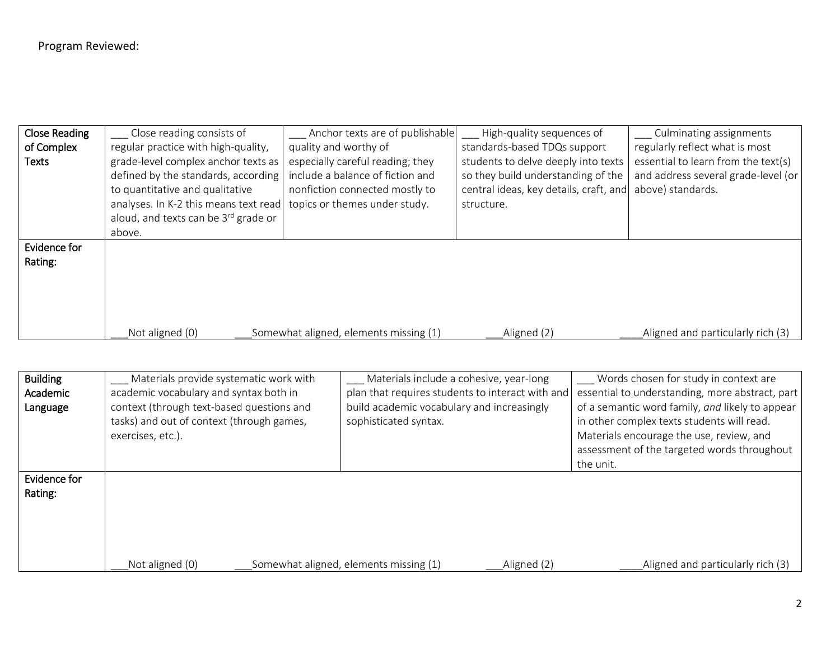| <b>Close Reading</b> | Close reading consists of             | Anchor texts are of publishable        | High-quality sequences of              | Culminating assignments             |
|----------------------|---------------------------------------|----------------------------------------|----------------------------------------|-------------------------------------|
| of Complex           | regular practice with high-quality,   | quality and worthy of                  | standards-based TDQs support           | regularly reflect what is most      |
| Texts                | grade-level complex anchor texts as   | especially careful reading; they       | students to delve deeply into texts    | essential to learn from the text(s) |
|                      | defined by the standards, according   | include a balance of fiction and       | so they build understanding of the     | and address several grade-level (or |
|                      | to quantitative and qualitative       | nonfiction connected mostly to         | central ideas, key details, craft, and | above) standards.                   |
|                      | analyses. In K-2 this means text read | topics or themes under study.          | structure.                             |                                     |
|                      | aloud, and texts can be 3rd grade or  |                                        |                                        |                                     |
|                      | above.                                |                                        |                                        |                                     |
| Evidence for         |                                       |                                        |                                        |                                     |
| Rating:              |                                       |                                        |                                        |                                     |
|                      |                                       |                                        |                                        |                                     |
|                      |                                       |                                        |                                        |                                     |
|                      |                                       |                                        |                                        |                                     |
|                      |                                       |                                        |                                        |                                     |
|                      | Not aligned (0)                       | Somewhat aligned, elements missing (1) | Aligned (2)                            | Aligned and particularly rich (3)   |

| <b>Building</b><br>Academic<br>Language | Materials provide systematic work with<br>academic vocabulary and syntax both in<br>context (through text-based questions and<br>tasks) and out of context (through games,<br>exercises, etc.). | Materials include a cohesive, year-long<br>plan that requires students to interact with and<br>build academic vocabulary and increasingly<br>sophisticated syntax. |             | Words chosen for study in context are<br>essential to understanding, more abstract, part<br>of a semantic word family, and likely to appear<br>in other complex texts students will read.<br>Materials encourage the use, review, and<br>assessment of the targeted words throughout |
|-----------------------------------------|-------------------------------------------------------------------------------------------------------------------------------------------------------------------------------------------------|--------------------------------------------------------------------------------------------------------------------------------------------------------------------|-------------|--------------------------------------------------------------------------------------------------------------------------------------------------------------------------------------------------------------------------------------------------------------------------------------|
| Evidence for<br>Rating:                 | Not aligned (0)                                                                                                                                                                                 | Somewhat aligned, elements missing (1)                                                                                                                             | Aligned (2) | the unit.<br>Aligned and particularly rich (3)                                                                                                                                                                                                                                       |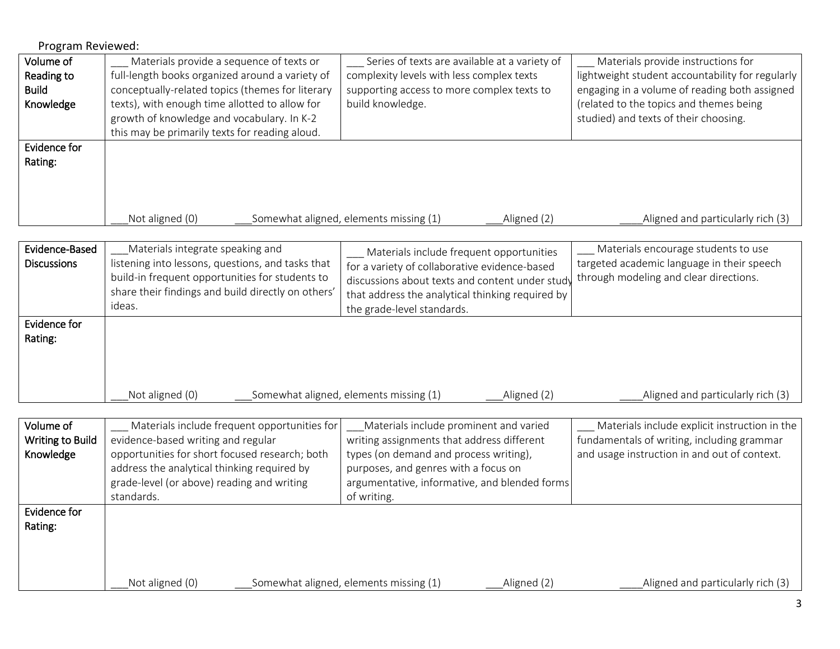| Program Reviewed:       |                                                                                       |                                                       |                                                  |
|-------------------------|---------------------------------------------------------------------------------------|-------------------------------------------------------|--------------------------------------------------|
| Volume of               | Materials provide a sequence of texts or                                              | Series of texts are available at a variety of         | Materials provide instructions for               |
| Reading to              | full-length books organized around a variety of                                       | complexity levels with less complex texts             | lightweight student accountability for regularly |
| <b>Build</b>            | conceptually-related topics (themes for literary                                      | supporting access to more complex texts to            | engaging in a volume of reading both assigned    |
| Knowledge               | texts), with enough time allotted to allow for                                        | build knowledge.                                      | (related to the topics and themes being          |
|                         | growth of knowledge and vocabulary. In K-2                                            |                                                       | studied) and texts of their choosing.            |
|                         | this may be primarily texts for reading aloud.                                        |                                                       |                                                  |
| Evidence for            |                                                                                       |                                                       |                                                  |
| Rating:                 |                                                                                       |                                                       |                                                  |
|                         |                                                                                       |                                                       |                                                  |
|                         |                                                                                       |                                                       |                                                  |
|                         |                                                                                       |                                                       |                                                  |
|                         | Not aligned (0)                                                                       | Somewhat aligned, elements missing (1)<br>Aligned (2) | Aligned and particularly rich (3)                |
| Evidence-Based          |                                                                                       |                                                       | Materials encourage students to use              |
| <b>Discussions</b>      | Materials integrate speaking and<br>listening into lessons, questions, and tasks that | Materials include frequent opportunities              | targeted academic language in their speech       |
|                         | build-in frequent opportunities for students to                                       | for a variety of collaborative evidence-based         | through modeling and clear directions.           |
|                         | share their findings and build directly on others'                                    | discussions about texts and content under study       |                                                  |
|                         | ideas.                                                                                | that address the analytical thinking required by      |                                                  |
|                         |                                                                                       | the grade-level standards.                            |                                                  |
| Evidence for            |                                                                                       |                                                       |                                                  |
| Rating:                 |                                                                                       |                                                       |                                                  |
|                         |                                                                                       |                                                       |                                                  |
|                         |                                                                                       |                                                       |                                                  |
|                         | Not aligned (0)                                                                       | Somewhat aligned, elements missing (1)<br>Aligned (2) | Aligned and particularly rich (3)                |
|                         |                                                                                       |                                                       |                                                  |
| Volume of               | Materials include frequent opportunities for                                          | Materials include prominent and varied                | Materials include explicit instruction in the    |
| <b>Writing to Build</b> | evidence-based writing and regular                                                    | writing assignments that address different            | fundamentals of writing, including grammar       |
| Knowledge               | opportunities for short focused research; both                                        | types (on demand and process writing),                | and usage instruction in and out of context.     |
|                         | address the analytical thinking required by                                           | purposes, and genres with a focus on                  |                                                  |
|                         | grade-level (or above) reading and writing                                            | argumentative, informative, and blended forms         |                                                  |
|                         | standards.                                                                            | of writing.                                           |                                                  |
| Evidence for            |                                                                                       |                                                       |                                                  |
| Rating:                 |                                                                                       |                                                       |                                                  |
|                         |                                                                                       |                                                       |                                                  |

\_\_\_Not aligned (0) \_\_\_Somewhat aligned, elements missing (1) \_\_\_Aligned (2) \_\_\_\_Aligned and particularly rich (3)